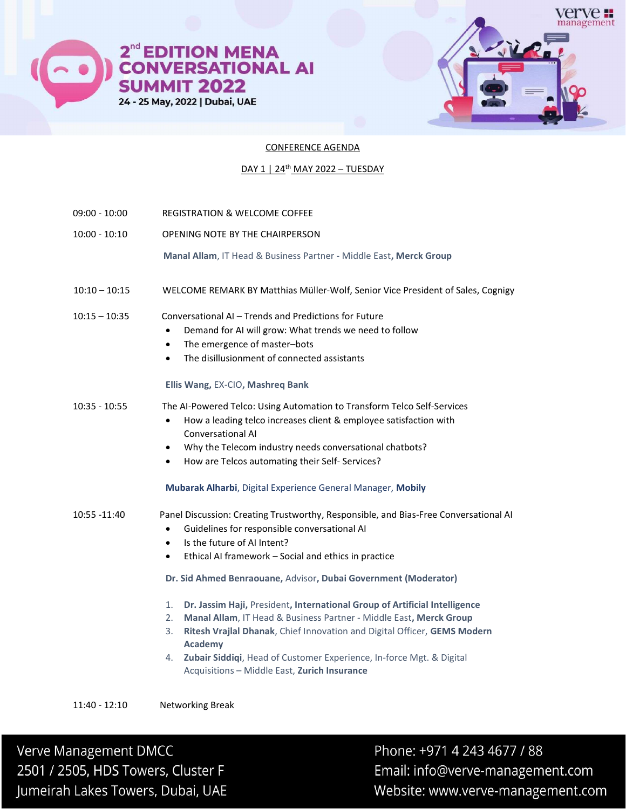



## CONFERENCE AGENDA

## DAY 1 | 24<sup>th</sup> MAY 2022 - TUESDAY

- 09:00 10:00 REGISTRATION & WELCOME COFFEE
- 10:00 10:10 OPENING NOTE BY THE CHAIRPERSON
	- Manal Allam, IT Head & Business Partner Middle East, Merck Group
- 10:10 10:15 WELCOME REMARK BY Matthias Müller-Wolf, Senior Vice President of Sales, Cognigy

### 10:15 – 10:35 Conversational AI – Trends and Predictions for Future

- Demand for AI will grow: What trends we need to follow
- The emergence of master–bots
- The disillusionment of connected assistants

#### Ellis Wang, EX-CIO, Mashreq Bank

10:35 - 10:55 The AI-Powered Telco: Using Automation to Transform Telco Self-Services

- How a leading telco increases client & employee satisfaction with Conversational AI
- Why the Telecom industry needs conversational chatbots?
- How are Telcos automating their Self- Services?

## Mubarak Alharbi, Digital Experience General Manager, Mobily

## 10:55 -11:40 Panel Discussion: Creating Trustworthy, Responsible, and Bias-Free Conversational AI

- Guidelines for responsible conversational AI
- Is the future of AI Intent?
- Ethical AI framework Social and ethics in practice

Dr. Sid Ahmed Benraouane, Advisor, Dubai Government (Moderator)

- 1. Dr. Jassim Haji, President, International Group of Artificial Intelligence
- 2. Manal Allam, IT Head & Business Partner Middle East, Merck Group
- 3. Ritesh Vrajlal Dhanak, Chief Innovation and Digital Officer, GEMS Modern Academy
- 4. Zubair Siddiqi, Head of Customer Experience, In-force Mgt. & Digital Acquisitions – Middle East, Zurich Insurance

11:40 - 12:10 Networking Break

Verve Management DMCC 2501 / 2505, HDS Towers, Cluster F Jumeirah Lakes Towers, Dubai, UAE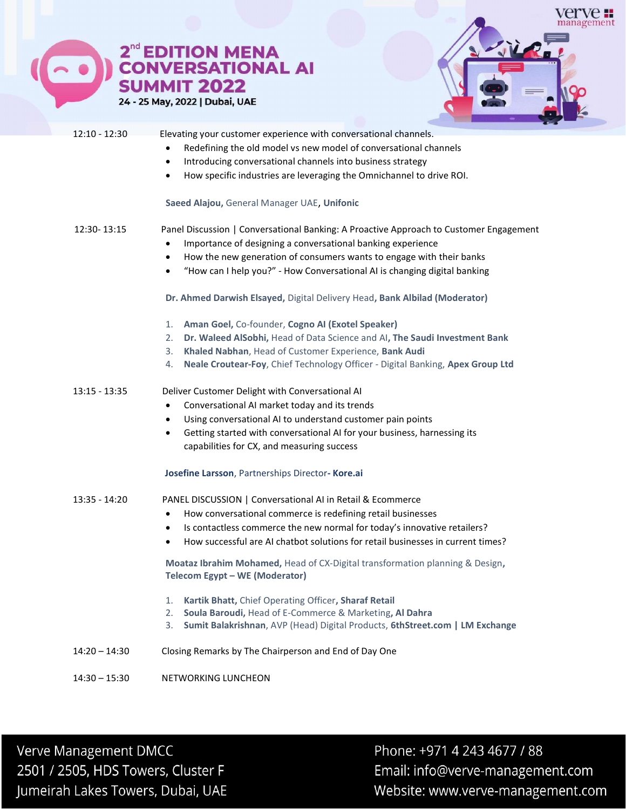



| $12:10 - 12:30$ | Elevating your customer experience with conversational channels.<br>Redefining the old model vs new model of conversational channels<br>Introducing conversational channels into business strategy<br>$\bullet$<br>How specific industries are leveraging the Omnichannel to drive ROI.<br>$\bullet$<br>Saeed Alajou, General Manager UAE, Unifonic                                                                                                                                       |
|-----------------|-------------------------------------------------------------------------------------------------------------------------------------------------------------------------------------------------------------------------------------------------------------------------------------------------------------------------------------------------------------------------------------------------------------------------------------------------------------------------------------------|
| 12:30-13:15     | Panel Discussion   Conversational Banking: A Proactive Approach to Customer Engagement<br>Importance of designing a conversational banking experience<br>$\bullet$<br>How the new generation of consumers wants to engage with their banks<br>$\bullet$<br>"How can I help you?" - How Conversational AI is changing digital banking<br>$\bullet$<br>Dr. Ahmed Darwish Elsayed, Digital Delivery Head, Bank Albilad (Moderator)<br>Aman Goel, Co-founder, Cogno AI (Exotel Speaker)<br>1. |
|                 | Dr. Waleed AlSobhi, Head of Data Science and AI, The Saudi Investment Bank<br>2.<br>Khaled Nabhan, Head of Customer Experience, Bank Audi<br>3.<br>Neale Croutear-Foy, Chief Technology Officer - Digital Banking, Apex Group Ltd<br>4.                                                                                                                                                                                                                                                   |
| $13:15 - 13:35$ | Deliver Customer Delight with Conversational AI<br>Conversational AI market today and its trends<br>$\bullet$<br>Using conversational AI to understand customer pain points<br>$\bullet$<br>Getting started with conversational AI for your business, harnessing its<br>$\bullet$<br>capabilities for CX, and measuring success                                                                                                                                                           |
|                 | Josefine Larsson, Partnerships Director- Kore.ai                                                                                                                                                                                                                                                                                                                                                                                                                                          |
| 13:35 - 14:20   | PANEL DISCUSSION   Conversational AI in Retail & Ecommerce<br>How conversational commerce is redefining retail businesses<br>$\bullet$<br>Is contactless commerce the new normal for today's innovative retailers?<br>$\bullet$<br>How successful are AI chatbot solutions for retail businesses in current times?<br>$\bullet$                                                                                                                                                           |
|                 | Moataz Ibrahim Mohamed, Head of CX-Digital transformation planning & Design,<br>Telecom Egypt - WE (Moderator)                                                                                                                                                                                                                                                                                                                                                                            |
|                 | Kartik Bhatt, Chief Operating Officer, Sharaf Retail<br>1.<br>Soula Baroudi, Head of E-Commerce & Marketing, Al Dahra<br>2.<br>3.<br>Sumit Balakrishnan, AVP (Head) Digital Products, 6thStreet.com   LM Exchange                                                                                                                                                                                                                                                                         |
| $14:20 - 14:30$ | Closing Remarks by The Chairperson and End of Day One                                                                                                                                                                                                                                                                                                                                                                                                                                     |

14:30 – 15:30 NETWORKING LUNCHEON

Verve Management DMCC 2501 / 2505, HDS Towers, Cluster F Jumeirah Lakes Towers, Dubai, UAE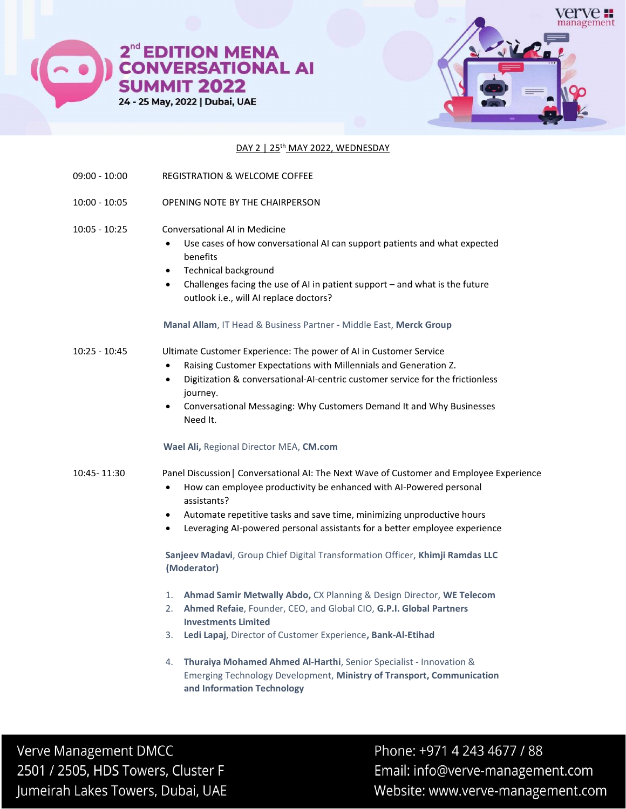

2<sup>nd</sup> EDITION MENA<br>CONVERSATIONAL AI **SUMMIT 2022** 24 - 25 May, 2022 | Dubai, UAE



## DAY 2 | 25<sup>th</sup> MAY 2022, WEDNESDAY

- 09:00 10:00 REGISTRATION & WELCOME COFFEE
- 10:00 10:05 OPENING NOTE BY THE CHAIRPERSON
- 10:05 10:25 Conversational AI in Medicine
	- Use cases of how conversational AI can support patients and what expected benefits
	- Technical background
	- Challenges facing the use of AI in patient support and what is the future outlook i.e., will AI replace doctors?

### Manal Allam, IT Head & Business Partner - Middle East, Merck Group

# 10:25 - 10:45 Ultimate Customer Experience: The power of AI in Customer Service

- Raising Customer Expectations with Millennials and Generation Z.
- Digitization & conversational-AI-centric customer service for the frictionless journey.
- Conversational Messaging: Why Customers Demand It and Why Businesses Need It.

## Wael Ali, Regional Director MEA, CM.com

## 10:45- 11:30 Panel Discussion| Conversational AI: The Next Wave of Customer and Employee Experience

- How can employee productivity be enhanced with AI-Powered personal assistants?
- Automate repetitive tasks and save time, minimizing unproductive hours
- Leveraging AI-powered personal assistants for a better employee experience

Sanjeev Madavi, Group Chief Digital Transformation Officer, Khimji Ramdas LLC (Moderator)

- 1. Ahmad Samir Metwally Abdo, CX Planning & Design Director, WE Telecom
- 2. Ahmed Refaie, Founder, CEO, and Global CIO, G.P.I. Global Partners Investments Limited
- 3. Ledi Lapaj, Director of Customer Experience, Bank-Al-Etihad
- 4. Thuraiya Mohamed Ahmed Al-Harthi, Senior Specialist Innovation & Emerging Technology Development, Ministry of Transport, Communication and Information Technology

Verve Management DMCC 2501 / 2505, HDS Towers, Cluster F Jumeirah Lakes Towers, Dubai, UAE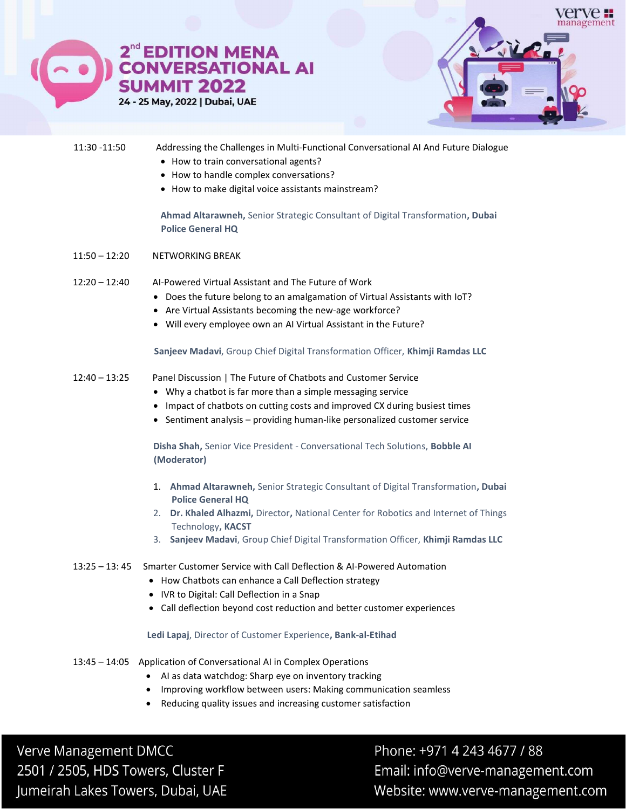

## 11:30 -11:50 Addressing the Challenges in Multi-Functional Conversational AI And Future Dialogue

- How to train conversational agents?
- How to handle complex conversations?
- How to make digital voice assistants mainstream?

Ahmad Altarawneh, Senior Strategic Consultant of Digital Transformation, Dubai Police General HQ

- 11:50 12:20 NETWORKING BREAK
- 12:20 12:40 AI-Powered Virtual Assistant and The Future of Work
	- Does the future belong to an amalgamation of Virtual Assistants with IoT?
	- Are Virtual Assistants becoming the new-age workforce?
	- Will every employee own an AI Virtual Assistant in the Future?

Sanjeev Madavi, Group Chief Digital Transformation Officer, Khimji Ramdas LLC

- 12:40 13:25 Panel Discussion | The Future of Chatbots and Customer Service
	- Why a chatbot is far more than a simple messaging service
	- Impact of chatbots on cutting costs and improved CX during busiest times
	- Sentiment analysis providing human-like personalized customer service

Disha Shah, Senior Vice President - Conversational Tech Solutions, Bobble AI (Moderator)

- 1. Ahmad Altarawneh, Senior Strategic Consultant of Digital Transformation, Dubai Police General HQ
- 2. Dr. Khaled Alhazmi, Director, National Center for Robotics and Internet of Things Technology, KACST
- 3. Sanjeev Madavi, Group Chief Digital Transformation Officer, Khimji Ramdas LLC

## 13:25 – 13: 45 Smarter Customer Service with Call Deflection & AI-Powered Automation

- How Chatbots can enhance a Call Deflection strategy
- IVR to Digital: Call Deflection in a Snap
- Call deflection beyond cost reduction and better customer experiences

#### Ledi Lapaj, Director of Customer Experience, Bank-al-Etihad

- 13:45 14:05 Application of Conversational AI in Complex Operations
	- AI as data watchdog: Sharp eye on inventory tracking
	- Improving workflow between users: Making communication seamless
	- Reducing quality issues and increasing customer satisfaction

**Verve Management DMCC** 2501 / 2505, HDS Towers, Cluster F Jumeirah Lakes Towers, Dubai, UAE